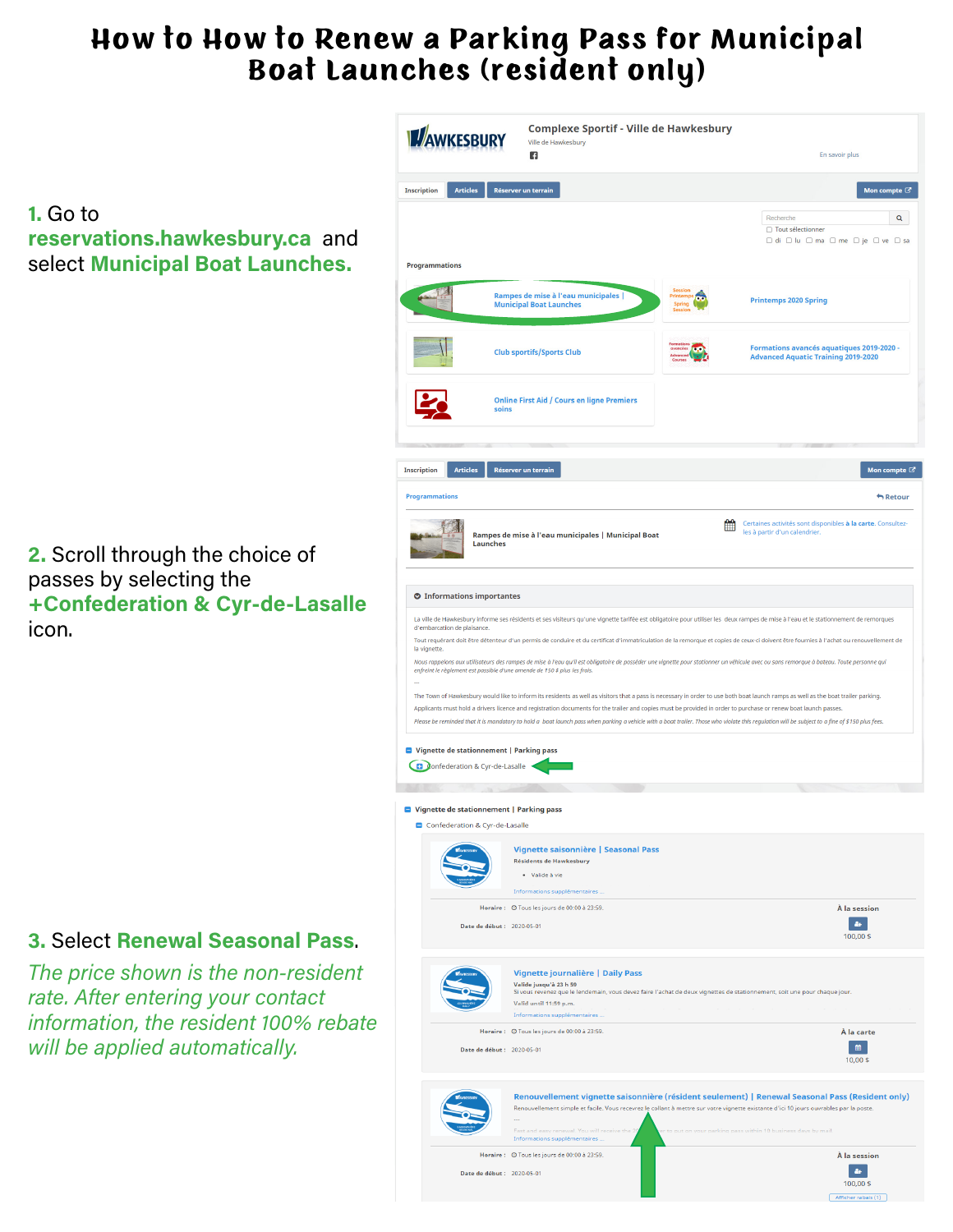## How to How to Renew a Parking Pass for Municipal Boat Launches (resident only)

**1.** Go to **reservations.hawkesbury.ca** and select **Municipal Boat Launches.**

**2.** Scroll through the choice of passes by selecting the **+Confederation & Cyr-de-Lasalle**  icon.

## **3.** Select **Renewal Seasonal Pass**.

*The price shown is the non-resident rate. After entering your contact information, the resident 100% rebate will be applied automatically.* 

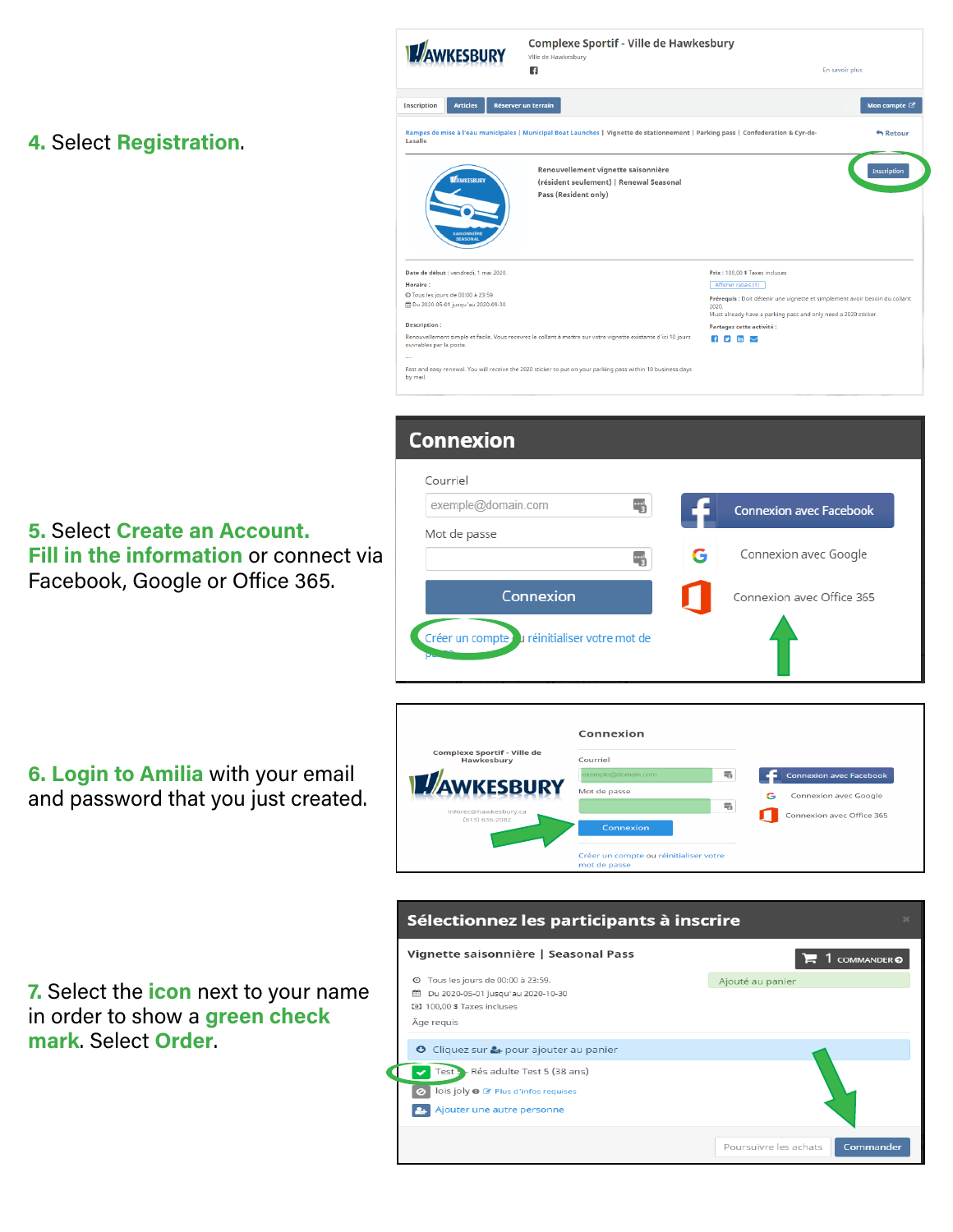